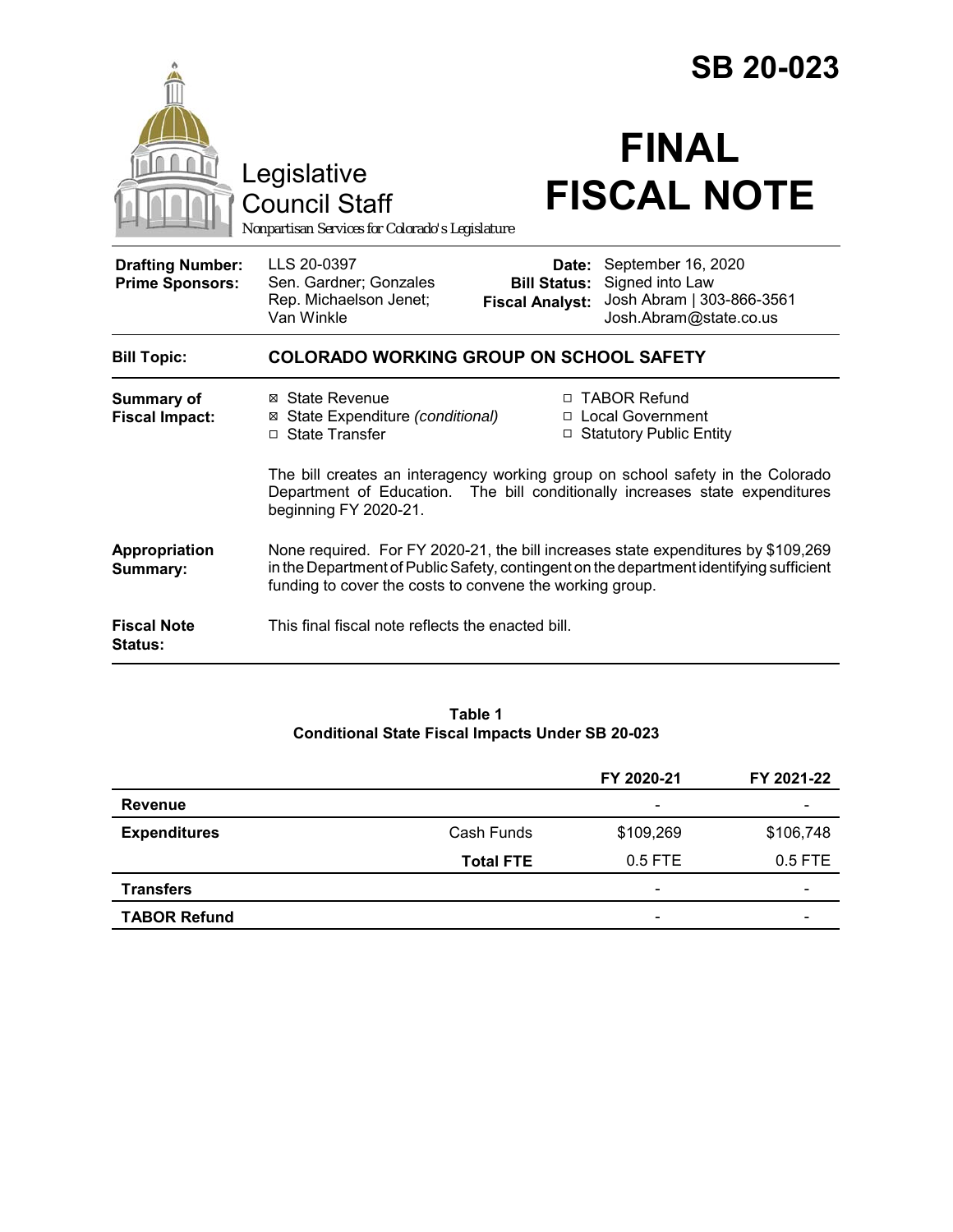|                                                   |                                                                                                                                                                                                                                          | <b>SB 20-023</b>                                       |                                                                                              |  |
|---------------------------------------------------|------------------------------------------------------------------------------------------------------------------------------------------------------------------------------------------------------------------------------------------|--------------------------------------------------------|----------------------------------------------------------------------------------------------|--|
|                                                   | Legislative<br><b>Council Staff</b><br>Nonpartisan Services for Colorado's Legislature                                                                                                                                                   |                                                        | <b>FINAL</b><br><b>FISCAL NOTE</b>                                                           |  |
| <b>Drafting Number:</b><br><b>Prime Sponsors:</b> | LLS 20-0397<br>Sen. Gardner; Gonzales<br>Rep. Michaelson Jenet;<br>Van Winkle                                                                                                                                                            | Date:<br><b>Bill Status:</b><br><b>Fiscal Analyst:</b> | September 16, 2020<br>Signed into Law<br>Josh Abram   303-866-3561<br>Josh.Abram@state.co.us |  |
| <b>Bill Topic:</b>                                | <b>COLORADO WORKING GROUP ON SCHOOL SAFETY</b>                                                                                                                                                                                           |                                                        |                                                                                              |  |
| <b>Summary of</b><br><b>Fiscal Impact:</b>        | ⊠ State Revenue<br>⊠ State Expenditure (conditional)<br>□ State Transfer                                                                                                                                                                 |                                                        | □ TABOR Refund<br>□ Local Government<br>□ Statutory Public Entity                            |  |
|                                                   | The bill creates an interagency working group on school safety in the Colorado<br>Department of Education. The bill conditionally increases state expenditures<br>beginning FY 2020-21.                                                  |                                                        |                                                                                              |  |
| Appropriation<br><b>Summary:</b>                  | None required. For FY 2020-21, the bill increases state expenditures by \$109,269<br>in the Department of Public Safety, contingent on the department identifying sufficient<br>funding to cover the costs to convene the working group. |                                                        |                                                                                              |  |
| <b>Fiscal Note</b><br><b>Status:</b>              | This final fiscal note reflects the enacted bill.                                                                                                                                                                                        |                                                        |                                                                                              |  |

### **Table 1 Conditional State Fiscal Impacts Under SB 20-023**

|                     |                  | FY 2020-21               | FY 2021-22               |
|---------------------|------------------|--------------------------|--------------------------|
| <b>Revenue</b>      |                  | $\overline{\phantom{0}}$ | $\overline{\phantom{0}}$ |
| <b>Expenditures</b> | Cash Funds       | \$109,269                | \$106,748                |
|                     | <b>Total FTE</b> | $0.5$ FTE                | $0.5$ FTE                |
| <b>Transfers</b>    |                  | $\overline{\phantom{0}}$ | $\overline{\phantom{0}}$ |
| <b>TABOR Refund</b> |                  | $\overline{\phantom{0}}$ | $\overline{\phantom{0}}$ |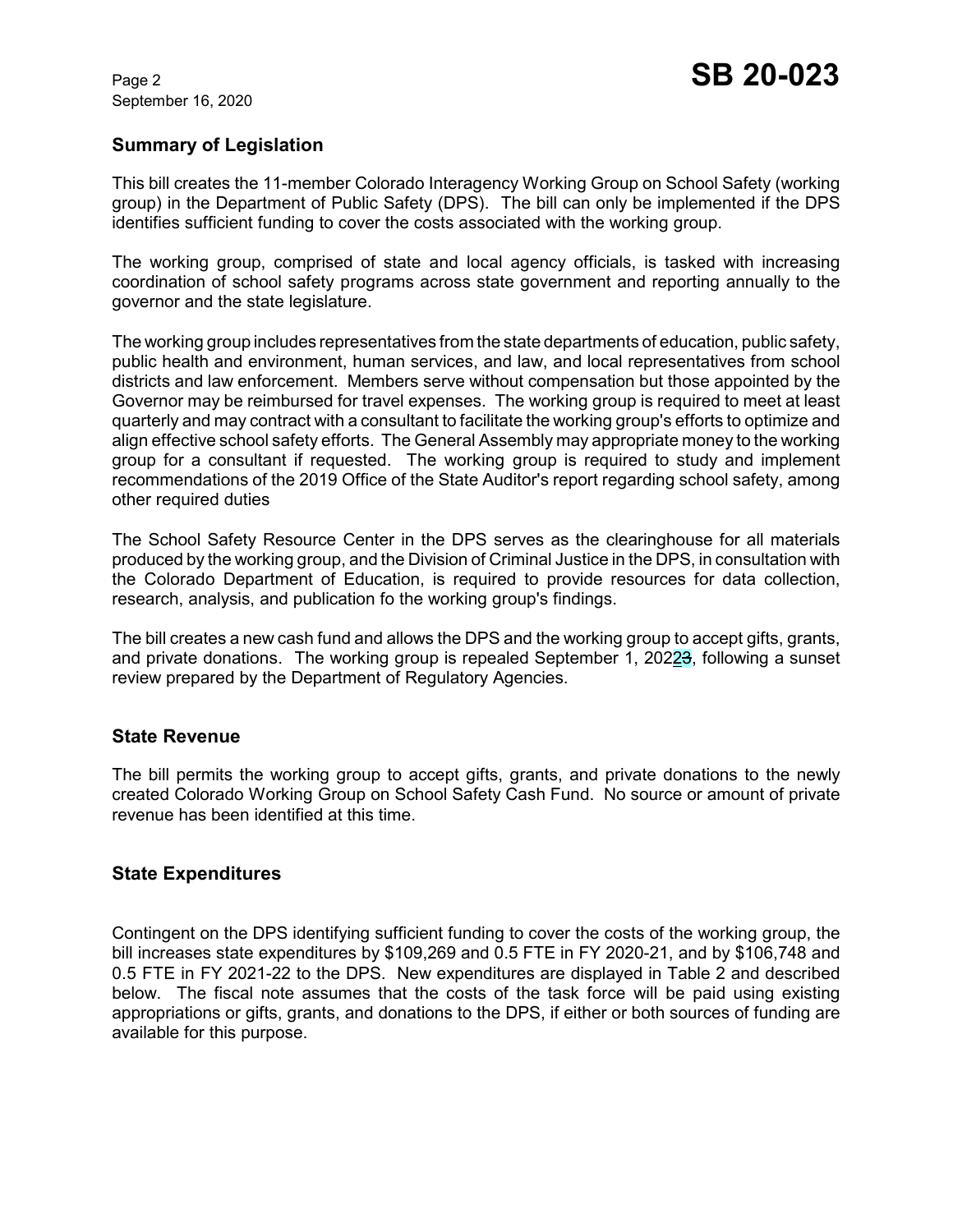September 16, 2020

## **Summary of Legislation**

This bill creates the 11-member Colorado Interagency Working Group on School Safety (working group) in the Department of Public Safety (DPS). The bill can only be implemented if the DPS identifies sufficient funding to cover the costs associated with the working group.

The working group, comprised of state and local agency officials, is tasked with increasing coordination of school safety programs across state government and reporting annually to the governor and the state legislature.

The working group includes representatives from the state departments of education, public safety, public health and environment, human services, and law, and local representatives from school districts and law enforcement. Members serve without compensation but those appointed by the Governor may be reimbursed for travel expenses. The working group is required to meet at least quarterly and may contract with a consultant to facilitate the working group's efforts to optimize and align effective school safety efforts. The General Assembly may appropriate money to the working group for a consultant if requested. The working group is required to study and implement recommendations of the 2019 Office of the State Auditor's report regarding school safety, among other required duties

The School Safety Resource Center in the DPS serves as the clearinghouse for all materials produced by the working group, and the Division of Criminal Justice in the DPS, in consultation with the Colorado Department of Education, is required to provide resources for data collection, research, analysis, and publication fo the working group's findings.

The bill creates a new cash fund and allows the DPS and the working group to accept gifts, grants, and private donations. The working group is repealed September 1, 202 $\frac{23}{3}$ , following a sunset review prepared by the Department of Regulatory Agencies.

### **State Revenue**

The bill permits the working group to accept gifts, grants, and private donations to the newly created Colorado Working Group on School Safety Cash Fund. No source or amount of private revenue has been identified at this time.

### **State Expenditures**

Contingent on the DPS identifying sufficient funding to cover the costs of the working group, the bill increases state expenditures by \$109,269 and 0.5 FTE in FY 2020-21, and by \$106,748 and 0.5 FTE in FY 2021-22 to the DPS. New expenditures are displayed in Table 2 and described below. The fiscal note assumes that the costs of the task force will be paid using existing appropriations or gifts, grants, and donations to the DPS, if either or both sources of funding are available for this purpose.